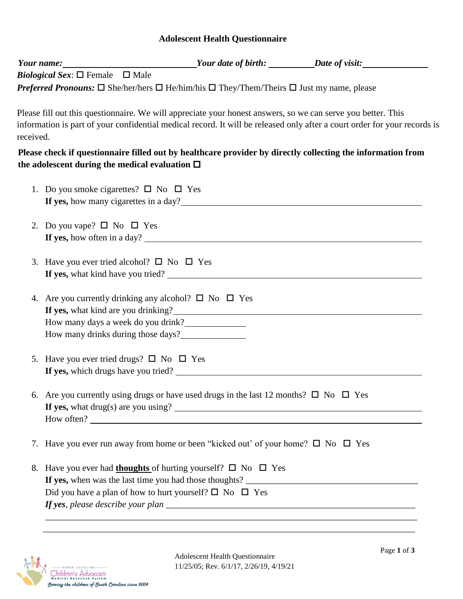## **Adolescent Health Questionnaire**

| Your name:                                        | Your date of birth:                                                                                                  | Date of visit: |
|---------------------------------------------------|----------------------------------------------------------------------------------------------------------------------|----------------|
| <i>Biological Sex</i> : $\Box$ Female $\Box$ Male |                                                                                                                      |                |
|                                                   | <b>Preferred Pronouns:</b> $\Box$ She/her/hers $\Box$ He/him/his $\Box$ They/Them/Theirs $\Box$ Just my name, please |                |

Please fill out this questionnaire. We will appreciate your honest answers, so we can serve you better. This information is part of your confidential medical record. It will be released only after a court order for your records is received.

## **Please check if questionnaire filled out by healthcare provider by directly collecting the information from the adolescent during the medical evaluation**

| 1. Do you smoke cigarettes? $\Box$ No $\Box$ Yes                                                      |
|-------------------------------------------------------------------------------------------------------|
|                                                                                                       |
| 2. Do you vape? $\square$ No $\square$ Yes                                                            |
| If yes, how often in a day?                                                                           |
| 3. Have you ever tried alcohol? $\square$ No $\square$ Yes                                            |
| If yes, what kind have you tried?                                                                     |
| 4. Are you currently drinking any alcohol? $\square$ No $\square$ Yes                                 |
| If yes, what kind are you drinking?                                                                   |
| How many days a week do you drink?                                                                    |
| How many drinks during those days?                                                                    |
| 5. Have you ever tried drugs? $\square$ No $\square$ Yes                                              |
|                                                                                                       |
| 6. Are you currently using drugs or have used drugs in the last 12 months? $\square$ No $\square$ Yes |
|                                                                                                       |
| How often?                                                                                            |
| 7. Have you ever run away from home or been "kicked out' of your home? $\square$ No $\square$ Yes     |
|                                                                                                       |
| 8. Have you ever had <b>thoughts</b> of hurting yourself? $\Box$ No $\Box$ Yes                        |
|                                                                                                       |
| Did you have a plan of how to hurt yourself? $\square$ No $\square$ Yes                               |
|                                                                                                       |
|                                                                                                       |



Adolescent Health Questionnaire 11/25/05; Rev. 6/1/17, 2/26/19, 4/19/21

\_\_\_\_\_\_\_\_\_\_\_\_\_\_\_\_\_\_\_\_\_\_\_\_\_\_\_\_\_\_\_\_\_\_\_\_\_\_\_\_\_\_\_\_\_\_\_\_\_\_\_\_\_\_\_\_\_\_\_\_\_\_\_\_\_\_\_\_\_\_\_\_\_\_\_\_\_\_\_\_\_\_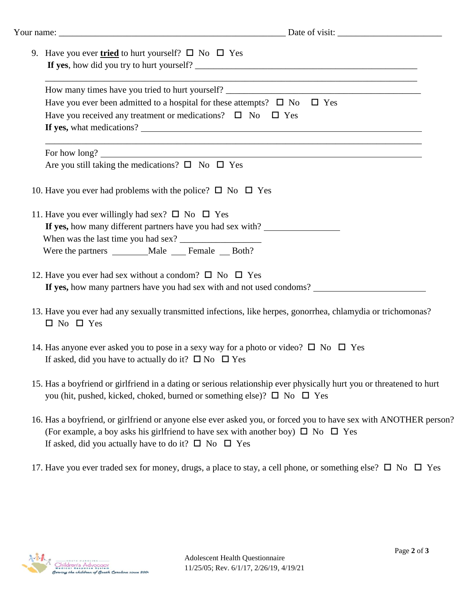| 9. Have you ever tried to hurt yourself? $\square$ No $\square$ Yes<br>If yes, how did you try to hurt yourself?                                                                                                                                                                       |
|----------------------------------------------------------------------------------------------------------------------------------------------------------------------------------------------------------------------------------------------------------------------------------------|
| <u> 1989 - Johann John Stoff, deutscher Stoffen und der Stoffen und der Stoffen und der Stoffen und der Stoffen</u>                                                                                                                                                                    |
| Have you ever been admitted to a hospital for these attempts? $\square$ No $\square$ Yes                                                                                                                                                                                               |
| Have you received any treatment or medications? $\Box$ No $\Box$ Yes<br>If yes, what medications?                                                                                                                                                                                      |
| For how long?                                                                                                                                                                                                                                                                          |
| Are you still taking the medications? $\square$ No $\square$ Yes                                                                                                                                                                                                                       |
| 10. Have you ever had problems with the police? $\square$ No $\square$ Yes                                                                                                                                                                                                             |
| 11. Have you ever willingly had sex? $\square$ No $\square$ Yes                                                                                                                                                                                                                        |
| If yes, how many different partners have you had sex with?                                                                                                                                                                                                                             |
|                                                                                                                                                                                                                                                                                        |
| Were the partners ________Male ___Female __Both?                                                                                                                                                                                                                                       |
| 12. Have you ever had sex without a condom? $\square$ No $\square$ Yes                                                                                                                                                                                                                 |
| If yes, how many partners have you had sex with and not used condoms?                                                                                                                                                                                                                  |
| 13. Have you ever had any sexually transmitted infections, like herpes, gonorrhea, chlamydia or trichomonas?<br>$\Box$ No $\Box$ Yes                                                                                                                                                   |
| 14. Has anyone ever asked you to pose in a sexy way for a photo or video? $\Box$ No $\Box$ Yes<br>If asked, did you have to actually do it? $\square$ No $\square$ Yes                                                                                                                 |
| 15. Has a boyfriend or girlfriend in a dating or serious relationship ever physically hurt you or threatened to hurt<br>you (hit, pushed, kicked, choked, burned or something else)? $\Box$ No $\Box$ Yes                                                                              |
| 16. Has a boyfriend, or girlfriend or anyone else ever asked you, or forced you to have sex with ANOTHER person?<br>(For example, a boy asks his girlfriend to have sex with another boy) $\Box$ No $\Box$ Yes<br>If asked, did you actually have to do it? $\square$ No $\square$ Yes |
| 17. Have you ever traded sex for money, drugs, a place to stay, a cell phone, or something else? $\Box$ No $\Box$ Yes                                                                                                                                                                  |
|                                                                                                                                                                                                                                                                                        |